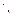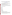# **Consumer Factsheet on: PENTACHLOROPHENOL**

#### [List of Contaminants](http://www.epa.gov/safewater/hfacts.html)

 As part of the Drinking Water and Health pages, this fact sheet is part of a larger publication: **National Primary Drinking Water Regulations** 

 States Environmental Protection Agency (EPA). This is a factsheet about a chemical that may be found in some public or private drinking water supplies. It may cause health problems if found in amounts greater than the health standard set by the United

## **What is Pentachlorophenol and how is it used?**

 Pentachlorophenol (PCP) is a white organic solid with needle-like crystals and a phenolic odor. The greatest use of pentachlorophenol is as a wood preservative (fungicide). Though once widely used as an herbicide, it was banned in 1987 for these and other uses, as well as for any over-the-counter sales.

 The list of trade names given below may help you find out whether you are using this chemical at home or work.

#### **Trade Names and Synonyms:**

 Dowicide 7 Santophen 20 PCP Penchlorol Permasan **Fungifen** Grundier arbezol Lauxtol Liroprem **Chlon** Dura Treet II **Woodtreat** Penta Ready Penta WR Forpen-50 Ontrack WE Herbicide Ortho Triox Osmose WPC Watershed WP Weed and Brush KillerH

# **Why is Pentachlorophenol being Regulated?**

 based solely on possible health risks and exposure, are called Maximum Contaminant Level Goals. In 1974, Congress passed the Safe Drinking Water Act. This law requires EPA to determine safe levels of chemicals in drinking water which do or may cause health problems. These non-enforceable levels,

 would not cause any of the potential health problems described below. The MCLG for pentachlorophenol has been set at zero because EPA believes this level of protection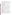Based on this MCLG, EPA has set an enforceable standard called a Maximum Contaminant Level (MCL). MCLs are set as close to the MCLGs as possible, considering the ability of public water systems to detect and remove contaminants using suitable treatment technologies.

 contaminant should it occur in drinking water. The MCL has been set at 1 part per billion (ppb) because EPA believes, given present technology and resources, this is the lowest level to which water systems can reasonably be required to remove this

These drinking water standards and the regulations for ensuring these standards are met, are called National Primary Drinking Water Regulations. All public water supplies must abide by these regulations.

# **What are the Health Effects?**

 people are exposed to it at levels above the MCL for relatively short periods of time: damage to the central nervous system Short-term: EPA has found pentachlorophenol to potentially cause the following health effects when

 levels above the MCL: reproductive effects and damage to liver and kidneys; cancer. Long-term: Pentachlorophenol has the potential to cause the following effects from a lifetime exposure at

#### **How much Pentachlorophenol is produced and released to the environment?**

 1993, according to EPA's Toxic Chemical Release Inventory, releases to land and water totalled nearly Production of pentachlorophenol was 45 million lbs in 1983. It may be released to the environment as a result of its manufacture, storage, transport, or use as an industrial wood preservative. From 1987 to 100,000 lbs.

 the greatest volume of releases occurred at a military munitions plant in Nevada. The most widespread releases were primarily from wood preserving industries in many states. However,

#### **What happens to Pentachlorophenol when it is released to the environment?**

 When released to soil or water, PCP will be slowly broken down by microbes and may gradually leach into ground water. If released in water, it will adsorb to sediment, or be degraded by sunlight. Its accumulation in fish will be moderate.

# **How will Pentachlorophenol be Detected in and Removed from My Drinking Water?**

 pentachlorophenol is present above 0.04 ppb. If it is present above this level, the system must continue to The regulation for pentachlorophenol became effective in 1992. Between 1993 and 1995, EPA required your water supplier to collect water samples every 3 months for one year and analyze them to find out if monitor this contaminant.

 reduce the amount of pentachlorophenol so that it is consistently below that level. The following treatment If contaminant levels are found to be consistently above the MCL, your water supplier must take steps to methods have been approved by EPA for removing pentachlorophenol: Granular activated charcoal.